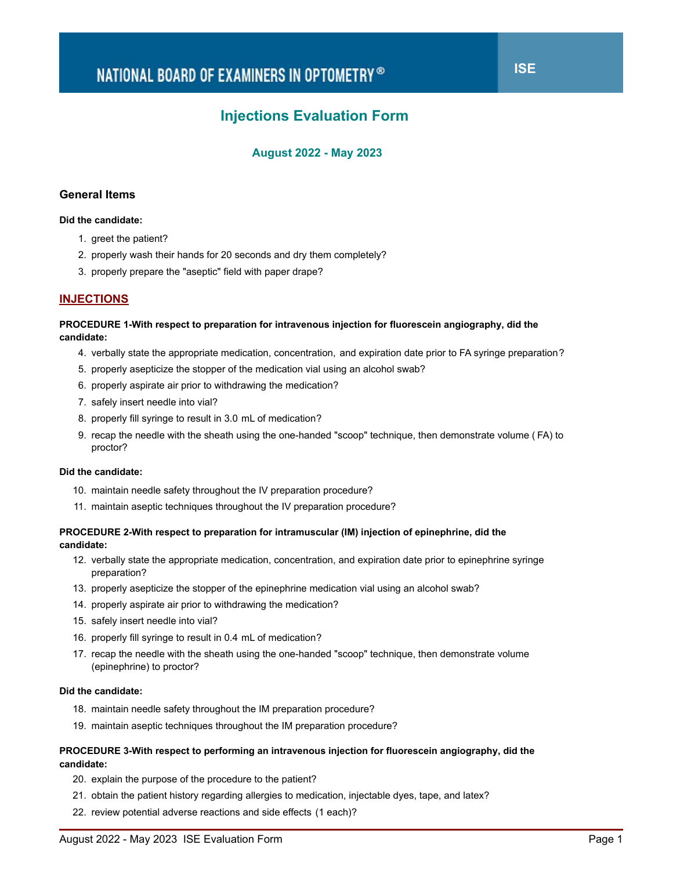# **Injections Evaluation Form**

# **August 2022 - May 2023**

## **General Items**

#### **Did the candidate:**

- 1. greet the patient?
- 2. properly wash their hands for 20 seconds and dry them completely?
- 3. properly prepare the "aseptic" field with paper drape?

## **INJECTIONS**

#### **PROCEDURE 1-With respect to preparation for intravenous injection for fluorescein angiography, did the candidate:**

- 4. verbally state the appropriate medication, concentration, and expiration date prior to FA syringe preparation?
- 5. properly asepticize the stopper of the medication vial using an alcohol swab?
- 6. properly aspirate air prior to withdrawing the medication?
- 7. safely insert needle into vial?
- 8. properly fill syringe to result in 3.0 mL of medication?
- 9. recap the needle with the sheath using the one-handed "scoop" technique, then demonstrate volume (FA) to proctor?

### **Did the candidate:**

- 10. maintain needle safety throughout the IV preparation procedure?
- 11. maintain aseptic techniques throughout the IV preparation procedure?

## **PROCEDURE 2-With respect to preparation for intramuscular (IM) injection of epinephrine, did the candidate:**

- 12. verbally state the appropriate medication, concentration, and expiration date prior to epinephrine syringe preparation?
- 13. properly asepticize the stopper of the epinephrine medication vial using an alcohol swab?
- 14. properly aspirate air prior to withdrawing the medication?
- 15. safely insert needle into vial?
- 16. properly fill syringe to result in 0.4 mL of medication?
- 17. recap the needle with the sheath using the one-handed "scoop" technique, then demonstrate volume (epinephrine) to proctor?

#### **Did the candidate:**

- 18. maintain needle safety throughout the IM preparation procedure?
- 19. maintain aseptic techniques throughout the IM preparation procedure?

## **PROCEDURE 3-With respect to performing an intravenous injection for fluorescein angiography, did the candidate:**

- 20. explain the purpose of the procedure to the patient?
- 21. obtain the patient history regarding allergies to medication, injectable dyes, tape, and latex?
- 22. review potential adverse reactions and side effects (1 each)?